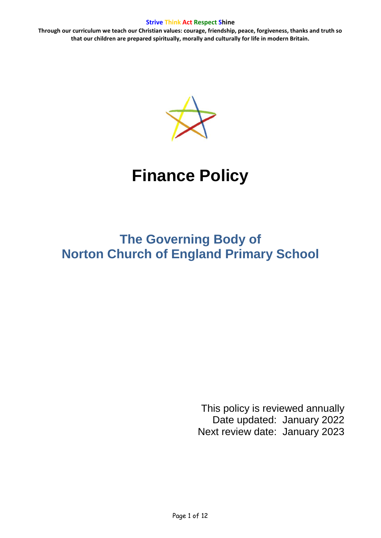**Through our curriculum we teach our Christian values: courage, friendship, peace, forgiveness, thanks and truth so that our children are prepared spiritually, morally and culturally for life in modern Britain.**



# **Finance Policy**

## **The Governing Body of Norton Church of England Primary School**

This policy is reviewed annually Date updated: January 2022 Next review date: January 2023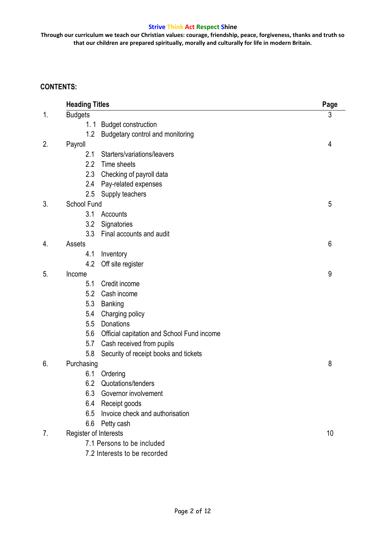**Through our curriculum we teach our Christian values: courage, friendship, peace, forgiveness, thanks and truth so that our children are prepared spiritually, morally and culturally for life in modern Britain.**

## **CONTENTS:**

| <b>Heading Titles</b> |                                            | Page |
|-----------------------|--------------------------------------------|------|
| <b>Budgets</b>        |                                            | 3    |
| 1.1                   | <b>Budget construction</b>                 |      |
| 1.2                   | Budgetary control and monitoring           |      |
| Payroll               |                                            | 4    |
| 2.1                   | Starters/variations/leavers                |      |
| 2.2                   | Time sheets                                |      |
| 2.3                   | Checking of payroll data                   |      |
| 2.4                   | Pay-related expenses                       |      |
| 2.5                   | Supply teachers                            |      |
| School Fund           |                                            | 5    |
| 3.1                   | Accounts                                   |      |
| 3.2                   | Signatories                                |      |
| 3.3                   | Final accounts and audit                   |      |
| Assets                |                                            | 6    |
| 4.1                   | Inventory                                  |      |
| 4.2                   | Off site register                          |      |
| Income                |                                            | 9    |
| 5.1                   | Credit income                              |      |
| 5.2                   | Cash income                                |      |
| 5.3                   | <b>Banking</b>                             |      |
| 5.4                   | Charging policy                            |      |
| 5.5                   | Donations                                  |      |
| 5.6<br>5.7            | Official capitation and School Fund income |      |
|                       | Cash received from pupils                  |      |
| 5.8                   | Security of receipt books and tickets      |      |
| Purchasing            |                                            | 8    |
| 6.1                   | Ordering                                   |      |
|                       | 6.2 Quotations/tenders                     |      |
| 6.3                   | Governor involvement                       |      |
|                       | 6.4 Receipt goods                          |      |
| 6.5                   | Invoice check and authorisation            |      |
| 6.6                   | Petty cash                                 |      |
| Register of Interests |                                            | 10   |
|                       | 7.1 Persons to be included                 |      |
|                       | 7.2 Interests to be recorded               |      |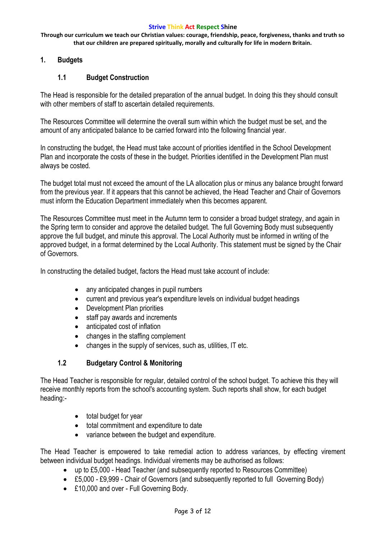**Through our curriculum we teach our Christian values: courage, friendship, peace, forgiveness, thanks and truth so that our children are prepared spiritually, morally and culturally for life in modern Britain.**

## **1. Budgets**

## **1.1 Budget Construction**

The Head is responsible for the detailed preparation of the annual budget. In doing this they should consult with other members of staff to ascertain detailed requirements.

The Resources Committee will determine the overall sum within which the budget must be set, and the amount of any anticipated balance to be carried forward into the following financial year.

In constructing the budget, the Head must take account of priorities identified in the School Development Plan and incorporate the costs of these in the budget. Priorities identified in the Development Plan must always be costed.

The budget total must not exceed the amount of the LA allocation plus or minus any balance brought forward from the previous year. If it appears that this cannot be achieved, the Head Teacher and Chair of Governors must inform the Education Department immediately when this becomes apparent.

The Resources Committee must meet in the Autumn term to consider a broad budget strategy, and again in the Spring term to consider and approve the detailed budget. The full Governing Body must subsequently approve the full budget, and minute this approval. The Local Authority must be informed in writing of the approved budget, in a format determined by the Local Authority. This statement must be signed by the Chair of Governors.

In constructing the detailed budget, factors the Head must take account of include:

- any anticipated changes in pupil numbers
- current and previous year's expenditure levels on individual budget headings
- Development Plan priorities
- staff pay awards and increments
- anticipated cost of inflation
- changes in the staffing complement
- changes in the supply of services, such as, utilities, IT etc.

## **1.2 Budgetary Control & Monitoring**

The Head Teacher is responsible for regular, detailed control of the school budget. To achieve this they will receive monthly reports from the school's accounting system. Such reports shall show, for each budget heading:-

- total budget for year
- total commitment and expenditure to date
- variance between the budget and expenditure.

The Head Teacher is empowered to take remedial action to address variances, by effecting virement between individual budget headings. Individual virements may be authorised as follows:

- up to £5,000 Head Teacher (and subsequently reported to Resources Committee)
- £5,000 £9,999 Chair of Governors (and subsequently reported to full Governing Body)
- £10,000 and over Full Governing Body.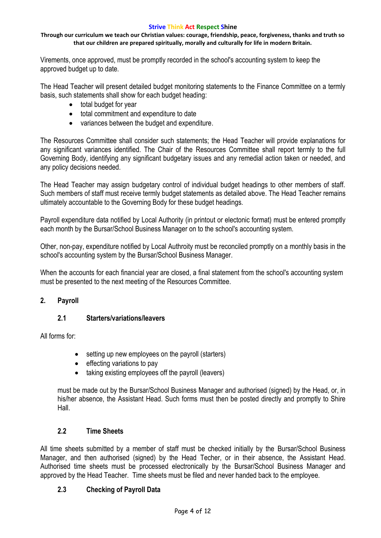#### **Through our curriculum we teach our Christian values: courage, friendship, peace, forgiveness, thanks and truth so that our children are prepared spiritually, morally and culturally for life in modern Britain.**

Virements, once approved, must be promptly recorded in the school's accounting system to keep the approved budget up to date.

The Head Teacher will present detailed budget monitoring statements to the Finance Committee on a termly basis, such statements shall show for each budget heading:

- total budget for year
- total commitment and expenditure to date
- variances between the budget and expenditure.

The Resources Committee shall consider such statements; the Head Teacher will provide explanations for any significant variances identified. The Chair of the Resources Committee shall report termly to the full Governing Body, identifying any significant budgetary issues and any remedial action taken or needed, and any policy decisions needed.

The Head Teacher may assign budgetary control of individual budget headings to other members of staff. Such members of staff must receive termly budget statements as detailed above. The Head Teacher remains ultimately accountable to the Governing Body for these budget headings.

Payroll expenditure data notified by Local Authority (in printout or electonic format) must be entered promptly each month by the Bursar/School Business Manager on to the school's accounting system.

Other, non-pay, expenditure notified by Local Authroity must be reconciled promptly on a monthly basis in the school's accounting system by the Bursar/School Business Manager.

When the accounts for each financial year are closed, a final statement from the school's accounting system must be presented to the next meeting of the Resources Committee.

## **2. Payroll**

## **2.1 Starters/variations/leavers**

All forms for:

- setting up new employees on the payroll (starters)
- $\bullet$  effecting variations to pay
- taking existing employees off the payroll (leavers)

must be made out by the Bursar/School Business Manager and authorised (signed) by the Head, or, in his/her absence, the Assistant Head. Such forms must then be posted directly and promptly to Shire Hall.

## **2.2 Time Sheets**

All time sheets submitted by a member of staff must be checked initially by the Bursar/School Business Manager, and then authorised (signed) by the Head Techer, or in their absence, the Assistant Head. Authorised time sheets must be processed electronically by the Bursar/School Business Manager and approved by the Head Teacher. Time sheets must be filed and never handed back to the employee.

## **2.3 Checking of Payroll Data**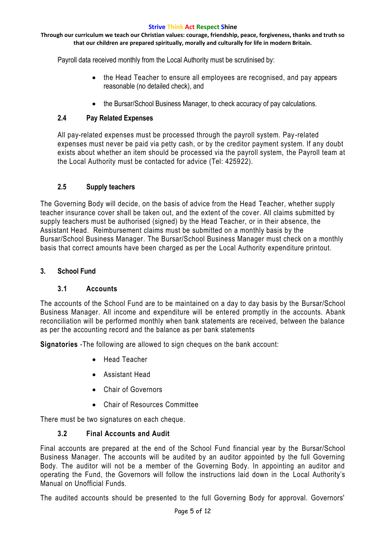#### **Through our curriculum we teach our Christian values: courage, friendship, peace, forgiveness, thanks and truth so that our children are prepared spiritually, morally and culturally for life in modern Britain.**

Payroll data received monthly from the Local Authority must be scrutinised by:

- the Head Teacher to ensure all employees are recognised, and pay appears reasonable (no detailed check), and
- the Bursar/School Business Manager, to check accuracy of pay calculations.

## **2.4 Pay Related Expenses**

All pay-related expenses must be processed through the payroll system. Pay -related expenses must never be paid via petty cash, or by the creditor payment system. If any doubt exists about whether an item should be processed via the payroll system, the Payroll team at the Local Authority must be contacted for advice (Tel: 425922).

## **2.5 Supply teachers**

The Governing Body will decide, on the basis of advice from the Head Teacher, whether supply teacher insurance cover shall be taken out, and the extent of the cover. All claims submitted by supply teachers must be authorised (signed) by the Head Teacher, or in their absence, the Assistant Head. Reimbursement claims must be submitted on a monthly basis by the Bursar/School Business Manager. The Bursar/School Business Manager must check on a monthly basis that correct amounts have been charged as per the Local Authority expenditure printout.

## **3. School Fund**

## **3.1 Accounts**

The accounts of the School Fund are to be maintained on a day to day basis by the Bursar/School Business Manager. All income and expenditure will be entered promptly in the accounts. Abank reconciliation will be performed monthly when bank statements are received, between the balance as per the accounting record and the balance as per bank statements

**Signatories** -The following are allowed to sign cheques on the bank account:

- Head Teacher
- Assistant Head
- Chair of Governors
- Chair of Resources Committee

There must be two signatures on each cheque.

## **3.2 Final Accounts and Audit**

Final accounts are prepared at the end of the School Fund financial year by the Bursar/School Business Manager. The accounts will be audited by an auditor appointed by the full Governing Body. The auditor will not be a member of the Governing Body. In appointing an auditor and operating the Fund, the Governors will follow the instructions laid down in the Local Authority's Manual on Unofficial Funds.

The audited accounts should be presented to the full Governing Body for approval. Governors'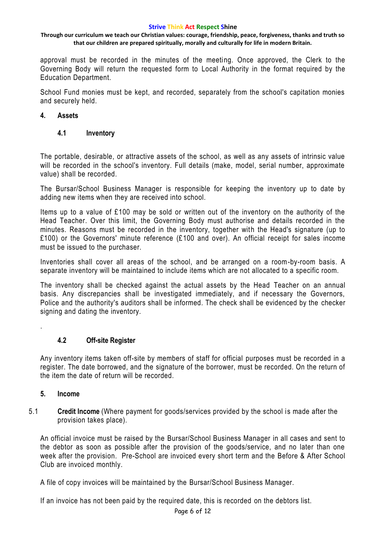#### **Through our curriculum we teach our Christian values: courage, friendship, peace, forgiveness, thanks and truth so that our children are prepared spiritually, morally and culturally for life in modern Britain.**

approval must be recorded in the minutes of the meeting. Once approved, the Clerk to the Governing Body will return the requested form to Local Authority in the format required by the Education Department.

School Fund monies must be kept, and recorded, separately from the school's capitation monies and securely held.

## **4. Assets**

## **4.1 Inventory**

The portable, desirable, or attractive assets of the school, as well as any assets of intrinsic value will be recorded in the school's inventory. Full details (make, model, serial number, approximate value) shall be recorded.

The Bursar/School Business Manager is responsible for keeping the inventory up to date by adding new items when they are received into school.

Items up to a value of £100 may be sold or written out of the inventory on the authority of the Head Teacher. Over this limit, the Governing Body must authorise and details recorded in the minutes. Reasons must be recorded in the inventory, together with the Head's signature (up to £100) or the Governors' minute reference (£100 and over). An official receipt for sales income must be issued to the purchaser.

Inventories shall cover all areas of the school, and be arranged on a room-by-room basis. A separate inventory will be maintained to include items which are not allocated to a specific room.

The inventory shall be checked against the actual assets by the Head Teacher on an annual basis. Any discrepancies shall be investigated immediately, and if necessary the Governors, Police and the authority's auditors shall be informed. The check shall be evidenced by the checker signing and dating the inventory.

## **4.2 Off-site Register**

Any inventory items taken off-site by members of staff for official purposes must be recorded in a register. The date borrowed, and the signature of the borrower, must be recorded. On the return of the item the date of return will be recorded.

#### **5. Income**

.

5.1 **Credit Income** (Where payment for goods/services provided by the school is made after the provision takes place).

An official invoice must be raised by the Bursar/School Business Manager in all cases and sent to the debtor as soon as possible after the provision of the goods/service, and no later than one week after the provision. Pre-School are invoiced every short term and the Before & After School Club are invoiced monthly.

A file of copy invoices will be maintained by the Bursar/School Business Manager.

If an invoice has not been paid by the required date, this is recorded on the debtors list.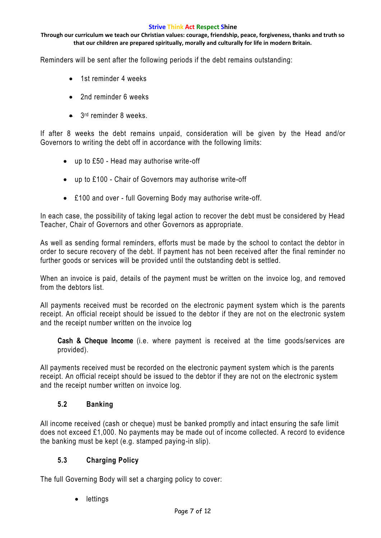**Through our curriculum we teach our Christian values: courage, friendship, peace, forgiveness, thanks and truth so that our children are prepared spiritually, morally and culturally for life in modern Britain.**

Reminders will be sent after the following periods if the debt remains outstanding:

- 1st reminder 4 weeks
- 2nd reminder 6 weeks
- 3<sup>rd</sup> reminder 8 weeks.

If after 8 weeks the debt remains unpaid, consideration will be given by the Head and/or Governors to writing the debt off in accordance with the following limits:

- up to £50 Head may authorise write-off
- up to £100 Chair of Governors may authorise write-off
- £100 and over full Governing Body may authorise write-off.

In each case, the possibility of taking legal action to recover the debt must be considered by Head Teacher, Chair of Governors and other Governors as appropriate.

As well as sending formal reminders, efforts must be made by the school to contact the debtor in order to secure recovery of the debt. If payment has not been received after the final reminder no further goods or services will be provided until the outstanding debt is settled.

When an invoice is paid, details of the payment must be written on the invoice log, and removed from the debtors list.

All payments received must be recorded on the electronic payment system which is the parents receipt. An official receipt should be issued to the debtor if they are not on the electronic system and the receipt number written on the invoice log

**Cash & Cheque Income** (i.e. where payment is received at the time goods/services are provided).

All payments received must be recorded on the electronic payment system which is the parents receipt. An official receipt should be issued to the debtor if they are not on the electronic system and the receipt number written on invoice log.

## **5.2 Banking**

All income received (cash or cheque) must be banked promptly and intact ensuring the safe limit does not exceed £1,000. No payments may be made out of income collected. A record to evidence the banking must be kept (e.g. stamped paying-in slip).

## **5.3 Charging Policy**

The full Governing Body will set a charging policy to cover:

lettings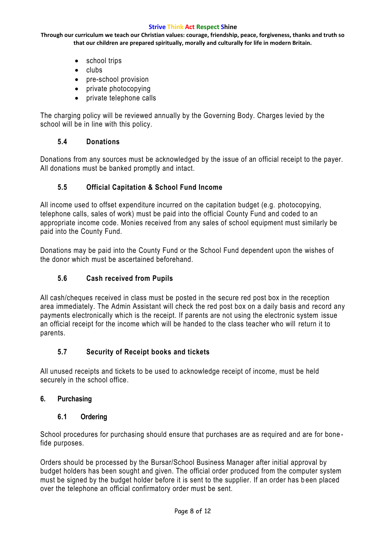**Through our curriculum we teach our Christian values: courage, friendship, peace, forgiveness, thanks and truth so that our children are prepared spiritually, morally and culturally for life in modern Britain.**

- school trips
- $\bullet$  clubs
- pre-school provision
- private photocopying
- private telephone calls

The charging policy will be reviewed annually by the Governing Body. Charges levied by the school will be in line with this policy.

## **5.4 Donations**

Donations from any sources must be acknowledged by the issue of an official receipt to the payer. All donations must be banked promptly and intact.

## **5.5 Official Capitation & School Fund Income**

All income used to offset expenditure incurred on the capitation budget (e.g. photocopying, telephone calls, sales of work) must be paid into the official County Fund and coded to an appropriate income code. Monies received from any sales of school equipment must similarly be paid into the County Fund.

Donations may be paid into the County Fund or the School Fund dependent upon the wishes of the donor which must be ascertained beforehand.

## **5.6 Cash received from Pupils**

All cash/cheques received in class must be posted in the secure red post box in the reception area immediately. The Admin Assistant will check the red post box on a daily basis and record any payments electronically which is the receipt. If parents are not using the electronic system issue an official receipt for the income which will be handed to the class teacher who will return it to parents.

## **5.7 Security of Receipt books and tickets**

All unused receipts and tickets to be used to acknowledge receipt of income, must be held securely in the school office.

## **6. Purchasing**

## **6.1 Ordering**

School procedures for purchasing should ensure that purchases are as required and are for bone fide purposes.

Orders should be processed by the Bursar/School Business Manager after initial approval by budget holders has been sought and given. The official order produced from the computer system must be signed by the budget holder before it is sent to the supplier. If an order has b een placed over the telephone an official confirmatory order must be sent.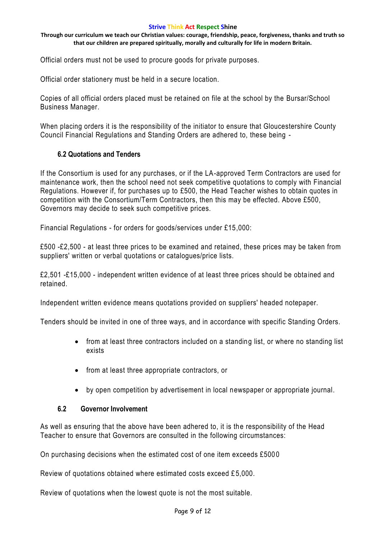#### **Through our curriculum we teach our Christian values: courage, friendship, peace, forgiveness, thanks and truth so that our children are prepared spiritually, morally and culturally for life in modern Britain.**

Official orders must not be used to procure goods for private purposes.

Official order stationery must be held in a secure location.

Copies of all official orders placed must be retained on file at the school by the Bursar/School Business Manager.

When placing orders it is the responsibility of the initiator to ensure that Gloucestershire County Council Financial Regulations and Standing Orders are adhered to, these being -

## **6.2 Quotations and Tenders**

If the Consortium is used for any purchases, or if the LA-approved Term Contractors are used for maintenance work, then the school need not seek competitive quotations to comply with Financial Regulations. However if, for purchases up to £500, the Head Teacher wishes to obtain quotes in competition with the Consortium/Term Contractors, then this may be effected. Above £500, Governors may decide to seek such competitive prices.

Financial Regulations - for orders for goods/services under £15,000:

£500 -£2,500 - at least three prices to be examined and retained, these prices may be taken from suppliers' written or verbal quotations or catalogues/price lists.

£2,501 -£15,000 - independent written evidence of at least three prices should be obta ined and retained.

Independent written evidence means quotations provided on suppliers' headed notepaper.

Tenders should be invited in one of three ways, and in accordance with specific Standing Orders.

- from at least three contractors included on a standing list, or where no standing list exists
- from at least three appropriate contractors, or
- by open competition by advertisement in local newspaper or appropriate journal.

## **6.2 Governor Involvement**

As well as ensuring that the above have been adhered to, it is the responsibility of the Head Teacher to ensure that Governors are consulted in the following circumstances:

On purchasing decisions when the estimated cost of one item exceeds £500 0

Review of quotations obtained where estimated costs exceed £5,000.

Review of quotations when the lowest quote is not the most suitable.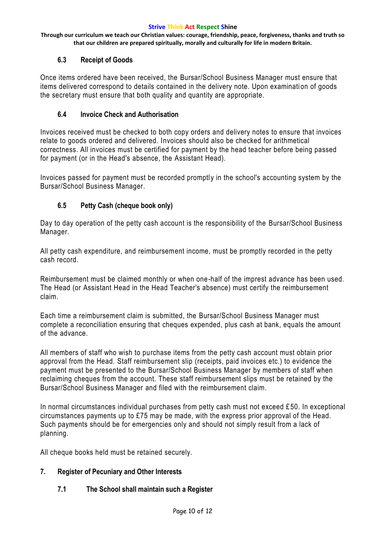**Through our curriculum we teach our Christian values: courage, friendship, peace, forgiveness, thanks and truth so that our children are prepared spiritually, morally and culturally for life in modern Britain.**

## **6.3 Receipt of Goods**

Once items ordered have been received, the Bursar/School Business Manager must ensure that items delivered correspond to details contained in the delivery note. Upon examinati on of goods the secretary must ensure that both quality and quantity are appropriate.

## **6.4 Invoice Check and Authorisation**

Invoices received must be checked to both copy orders and delivery notes to ensure that invoices relate to goods ordered and delivered. Invoices should also be checked for arithmetical correctness. All invoices must be certified for payment by the head teacher before being passed for payment (or in the Head's absence, the Assistant Head).

Invoices passed for payment must be recorded promptly in the school's accounting system by the Bursar/School Business Manager.

## **6.5 Petty Cash (cheque book only)**

Day to day operation of the petty cash account is the responsibility of the Bursar/School Business Manager.

All petty cash expenditure, and reimbursement income, must be promptly recorded in the petty cash record.

Reimbursement must be claimed monthly or when one-half of the imprest advance has been used. The Head (or Assistant Head in the Head Teacher's absence) must certify the reimbursement claim.

Each time a reimbursement claim is submitted, the Bursar/School Business Manager must complete a reconciliation ensuring that cheques expended, plus cash at bank, equals the amount of the advance.

All members of staff who wish to purchase items from the petty cash account must obtain prior approval from the Head. Staff reimbursement slip (receipts, paid invoices etc.) to evidence the payment must be presented to the Bursar/School Business Manager by members of staff when reclaiming cheques from the account. These staff reimbursement slips must be retained by the Bursar/School Business Manager and filed with the reimbursement claim.

In normal circumstances individual purchases from petty cash must not exceed £ 50. In exceptional circumstances payments up to £75 may be made, with the express prior approval of the Head. Such payments should be for emergencies only and should not simply result from a lack of planning.

All cheque books held must be retained securely.

#### **7. Register of Pecuniary and Other Interests**

## **7.1 The School shall maintain such a Register**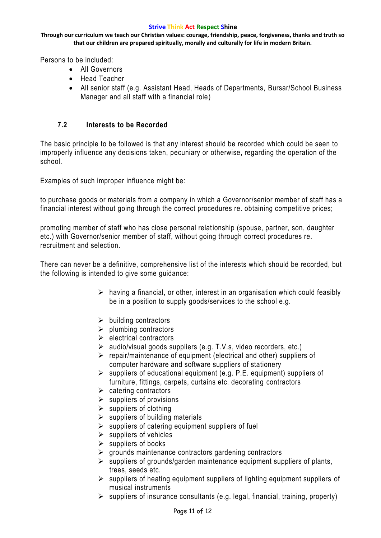**Through our curriculum we teach our Christian values: courage, friendship, peace, forgiveness, thanks and truth so that our children are prepared spiritually, morally and culturally for life in modern Britain.**

Persons to be included:

- All Governors
- Head Teacher
- All senior staff (e.g. Assistant Head, Heads of Departments, Bursar/School Business Manager and all staff with a financial role)

## **7.2 Interests to be Recorded**

The basic principle to be followed is that any interest should be recorded which could be seen to improperly influence any decisions taken, pecuniary or otherwise, regarding the operation of the school.

Examples of such improper influence might be:

to purchase goods or materials from a company in which a Governor/senior member of staff has a financial interest without going through the correct procedures re. obtaining competitive prices;

promoting member of staff who has close personal relationship (spouse, partner, son, daughter etc.) with Governor/senior member of staff, without going through correct procedures re. recruitment and selection.

There can never be a definitive, comprehensive list of the interests which should be recorded, but the following is intended to give some guidance:

- $\triangleright$  having a financial, or other, interest in an organisation which could feasibly be in a position to supply goods/services to the school e.g.
- $\triangleright$  building contractors
- $\triangleright$  plumbing contractors
- $\triangleright$  electrical contractors
- $\triangleright$  audio/visual goods suppliers (e.g. T.V.s, video recorders, etc.)
- $\triangleright$  repair/maintenance of equipment (electrical and other) suppliers of computer hardware and software suppliers of stationery
- $\triangleright$  suppliers of educational equipment (e.g. P.E. equipment) suppliers of furniture, fittings, carpets, curtains etc. decorating contractors
- $\triangleright$  catering contractors
- $\triangleright$  suppliers of provisions
- $\triangleright$  suppliers of clothing
- $\triangleright$  suppliers of building materials
- $\triangleright$  suppliers of catering equipment suppliers of fuel
- $\triangleright$  suppliers of vehicles
- $\triangleright$  suppliers of books
- $\triangleright$  grounds maintenance contractors gardening contractors
- $\triangleright$  suppliers of grounds/garden maintenance equipment suppliers of plants, trees, seeds etc.
- $\triangleright$  suppliers of heating equipment suppliers of lighting equipment suppliers of musical instruments
- $\triangleright$  suppliers of insurance consultants (e.g. legal, financial, training, property)